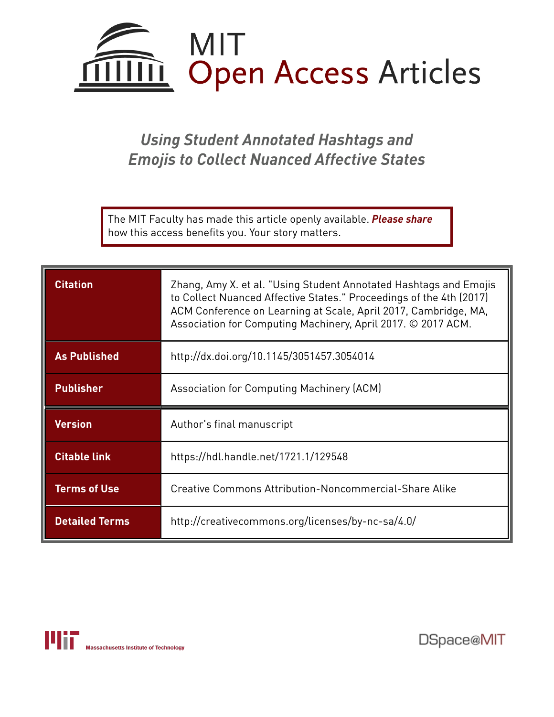

# *Using Student Annotated Hashtags and Emojis to Collect Nuanced Affective States*

The MIT Faculty has made this article openly available. *[Please](https://libraries.mit.edu/forms/dspace-oa-articles.html) share* how this access benefits you. Your story matters.

| <b>Citation</b>     | Zhang, Amy X. et al. "Using Student Annotated Hashtags and Emojis<br>to Collect Nuanced Affective States." Proceedings of the 4th (2017)<br>ACM Conference on Learning at Scale, April 2017, Cambridge, MA,<br>Association for Computing Machinery, April 2017. © 2017 ACM. |
|---------------------|-----------------------------------------------------------------------------------------------------------------------------------------------------------------------------------------------------------------------------------------------------------------------------|
| <b>As Published</b> | http://dx.doi.org/10.1145/3051457.3054014                                                                                                                                                                                                                                   |
| <b>Publisher</b>    | Association for Computing Machinery (ACM)                                                                                                                                                                                                                                   |
|                     |                                                                                                                                                                                                                                                                             |
| <b>Version</b>      | Author's final manuscript                                                                                                                                                                                                                                                   |
| <b>Citable link</b> | https://hdl.handle.net/1721.1/129548                                                                                                                                                                                                                                        |
| <b>Terms of Use</b> | Creative Commons Attribution-Noncommercial-Share Alike                                                                                                                                                                                                                      |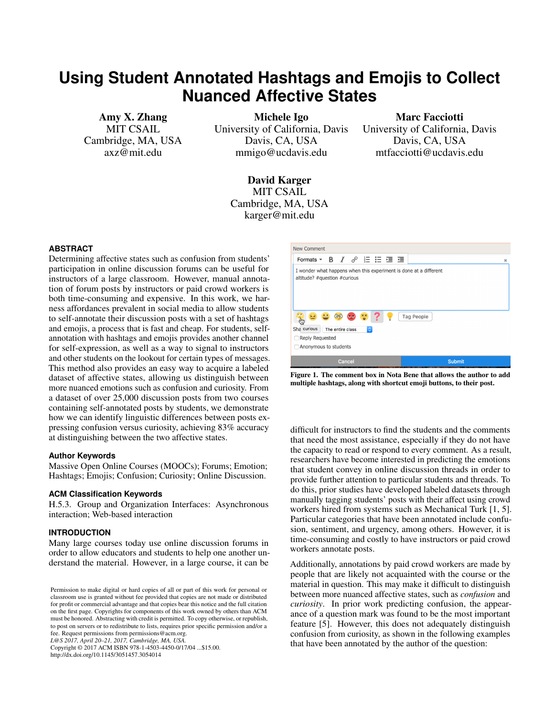## <span id="page-1-0"></span>**Using Student Annotated Hashtags and Emojis to Collect Nuanced Affective States**

Amy X. Zhang MIT CSAIL Cambridge, MA, USA axz@mit.edu

Michele Igo University of California, Davis Davis, CA, USA mmigo@ucdavis.edu

Marc Facciotti University of California, Davis Davis, CA, USA mtfacciotti@ucdavis.edu

David Karger MIT CSAIL Cambridge, MA, USA karger@mit.edu

## **ABSTRACT**

Determining affective states such as confusion from students' participation in online discussion forums can be useful for instructors of a large classroom. However, manual annotation of forum posts by instructors or paid crowd workers is both time-consuming and expensive. In this work, we harness affordances prevalent in social media to allow students to self-annotate their discussion posts with a set of hashtags and emojis, a process that is fast and cheap. For students, selfannotation with hashtags and emojis provides another channel for self-expression, as well as a way to signal to instructors and other students on the lookout for certain types of messages. This method also provides an easy way to acquire a labeled dataset of affective states, allowing us distinguish between more nuanced emotions such as confusion and curiosity. From a dataset of over 25,000 discussion posts from two courses containing self-annotated posts by students, we demonstrate how we can identify linguistic differences between posts expressing confusion versus curiosity, achieving 83% accuracy at distinguishing between the two affective states.

#### **Author Keywords**

Massive Open Online Courses (MOOCs); Forums; Emotion; Hashtags; Emojis; Confusion; Curiosity; Online Discussion.

#### **ACM Classification Keywords**

H.5.3. Group and Organization Interfaces: Asynchronous interaction; Web-based interaction

## **INTRODUCTION**

Many large courses today use online discussion forums in order to allow educators and students to help one another understand the material. However, in a large course, it can be

*L@S 2017, April 20–21, 2017, Cambridge, MA, USA.*

Copyright © 2017 ACM ISBN 978-1-4503-4450-0/17/04 ...\$15.00. http://dx.doi.org/10.1145/3051457.3054014



Figure 1. The comment box in Nota Bene that allows the author to add multiple hashtags, along with shortcut emoji buttons, to their post.

difficult for instructors to find the students and the comments that need the most assistance, especially if they do not have the capacity to read or respond to every comment. As a result, researchers have become interested in predicting the emotions that student convey in online discussion threads in order to provide further attention to particular students and threads. To do this, prior studies have developed labeled datasets through manually tagging students' posts with their affect using crowd workers hired from systems such as Mechanical Turk [\[1,](#page-4-0) [5\]](#page-4-1). Particular categories that have been annotated include confusion, sentiment, and urgency, among others. However, it is time-consuming and costly to have instructors or paid crowd workers annotate posts.

Additionally, annotations by paid crowd workers are made by people that are likely not acquainted with the course or the material in question. This may make it difficult to distinguish between more nuanced affective states, such as *confusion* and *curiosity*. In prior work predicting confusion, the appearance of a question mark was found to be the most important feature [\[5\]](#page-4-1). However, this does not adequately distinguish confusion from curiosity, as shown in the following examples that have been annotated by the author of the question:

Permission to make digital or hard copies of all or part of this work for personal or classroom use is granted without fee provided that copies are not made or distributed for profit or commercial advantage and that copies bear this notice and the full citation on the first page. Copyrights for components of this work owned by others than ACM must be honored. Abstracting with credit is permitted. To copy otherwise, or republish, to post on servers or to redistribute to lists, requires prior specific permission and/or a fee. Request permissions from permissions@acm.org.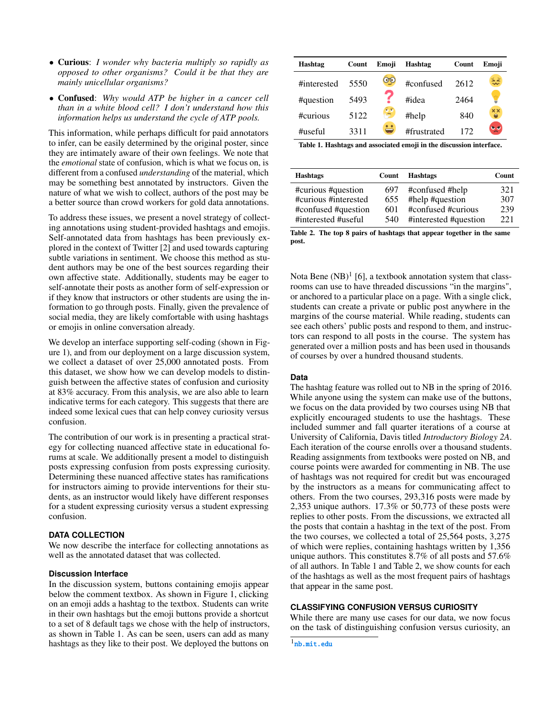- Curious: *I wonder why bacteria multiply so rapidly as opposed to other organisms? Could it be that they are mainly unicellular organisms?*
- Confused: *Why would ATP be higher in a cancer cell than in a white blood cell? I don't understand how this information helps us understand the cycle of ATP pools.*

This information, while perhaps difficult for paid annotators to infer, can be easily determined by the original poster, since they are intimately aware of their own feelings. We note that the *emotional* state of confusion, which is what we focus on, is different from a confused *understanding* of the material, which may be something best annotated by instructors. Given the nature of what we wish to collect, authors of the post may be a better source than crowd workers for gold data annotations.

To address these issues, we present a novel strategy of collecting annotations using student-provided hashtags and emojis. Self-annotated data from hashtags has been previously explored in the context of Twitter [\[2\]](#page-4-2) and used towards capturing subtle variations in sentiment. We choose this method as student authors may be one of the best sources regarding their own affective state. Additionally, students may be eager to self-annotate their posts as another form of self-expression or if they know that instructors or other students are using the information to go through posts. Finally, given the prevalence of social media, they are likely comfortable with using hashtags or emojis in online conversation already.

We develop an interface supporting self-coding (shown in Figure [1\)](#page-1-0), and from our deployment on a large discussion system, we collect a dataset of over 25,000 annotated posts. From this dataset, we show how we can develop models to distinguish between the affective states of confusion and curiosity at 83% accuracy. From this analysis, we are also able to learn indicative terms for each category. This suggests that there are indeed some lexical cues that can help convey curiosity versus confusion.

The contribution of our work is in presenting a practical strategy for collecting nuanced affective state in educational forums at scale. We additionally present a model to distinguish posts expressing confusion from posts expressing curiosity. Determining these nuanced affective states has ramifications for instructors aiming to provide interventions for their students, as an instructor would likely have different responses for a student expressing curiosity versus a student expressing confusion.

## **DATA COLLECTION**

We now describe the interface for collecting annotations as well as the annotated dataset that was collected.

## **Discussion Interface**

In the discussion system, buttons containing emojis appear below the comment textbox. As shown in Figure [1,](#page-1-0) clicking on an emoji adds a hashtag to the textbox. Students can write in their own hashtags but the emoji buttons provide a shortcut to a set of 8 default tags we chose with the help of instructors, as shown in Table [1.](#page-1-0) As can be seen, users can add as many hashtags as they like to their post. We deployed the buttons on

| Hashtag     | Count | Emoji     | Hashtag     | Count | Emoji                |
|-------------|-------|-----------|-------------|-------|----------------------|
| #interested | 5550  | $\bullet$ | #confused   | 2612  | $\tilde{\mathbf{z}}$ |
| #question   | 5493  |           | #idea       | 2464  |                      |
| #curious    | 5122  |           | #help       | 840   | $\times\times$       |
| $\#$ useful | 3311  |           | #frustrated | 172   | ৼৄ                   |

<span id="page-2-1"></span>Table 1. Hashtags and associated emoji in the discussion interface.

| <b>Hashtags</b>      | Count | <b>Hashtags</b>       | Count |
|----------------------|-------|-----------------------|-------|
| #curious #question   | 697   | #confused #help       | 321   |
| #curious #interested | 655   | #help #question       | 307   |
| #confused #question  | 601   | #confused #curious    | 239   |
| #interested #useful  | 540   | #interested #question | 221   |

Table 2. The top 8 pairs of hashtags that appear together in the same post.

Nota Bene  $(NB)^1$  $(NB)^1$  [\[6\]](#page-4-3), a textbook annotation system that classrooms can use to have threaded discussions "in the margins", or anchored to a particular place on a page. With a single click, students can create a private or public post anywhere in the margins of the course material. While reading, students can see each others' public posts and respond to them, and instructors can respond to all posts in the course. The system has generated over a million posts and has been used in thousands of courses by over a hundred thousand students.

## **Data**

The hashtag feature was rolled out to NB in the spring of 2016. While anyone using the system can make use of the buttons, we focus on the data provided by two courses using NB that explicitly encouraged students to use the hashtags. These included summer and fall quarter iterations of a course at University of California, Davis titled *Introductory Biology 2A*. Each iteration of the course enrolls over a thousand students. Reading assignments from textbooks were posted on NB, and course points were awarded for commenting in NB. The use of hashtags was not required for credit but was encouraged by the instructors as a means for communicating affect to others. From the two courses, 293,316 posts were made by 2,353 unique authors. 17.3% or 50,773 of these posts were replies to other posts. From the discussions, we extracted all the posts that contain a hashtag in the text of the post. From the two courses, we collected a total of 25,564 posts, 3,275 of which were replies, containing hashtags written by 1,356 unique authors. This constitutes 8.7% of all posts and 57.6% of all authors. In Table [1](#page-1-0) and Table [2,](#page-2-1) we show counts for each of the hashtags as well as the most frequent pairs of hashtags that appear in the same post.

## **CLASSIFYING CONFUSION VERSUS CURIOSITY**

While there are many use cases for our data, we now focus on the task of distinguishing confusion versus curiosity, an

<span id="page-2-0"></span>1 <nb.mit.edu>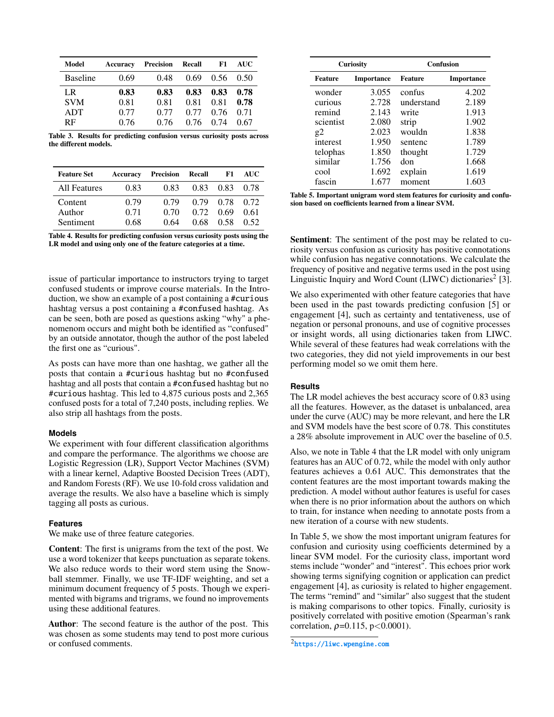| Model                    | Accuracy     | Precision    | Recall       | F1           | <b>AUC</b>   |
|--------------------------|--------------|--------------|--------------|--------------|--------------|
| <b>Baseline</b>          | 0.69         | 0.48         | 0.69         | 0.56         | (0.50)       |
| LR                       | 0.83         | 0.83         | 0.83         | 0.83         | 0.78         |
| <b>SVM</b><br><b>ADT</b> | 0.81<br>0.77 | 0.81<br>0.77 | 0.81<br>0.77 | 0.81<br>0.76 | 0.78<br>0.71 |
| <b>RF</b>                | 0.76         | 0.76         | 0.76         | 0.74         | 0.67         |

<span id="page-3-1"></span>Table 3. Results for predicting confusion versus curiosity posts across the different models.

| <b>Feature Set</b>             | Accuracy             | <b>Precision Recall</b> |                      | F1                   | AUC.                 |
|--------------------------------|----------------------|-------------------------|----------------------|----------------------|----------------------|
| All Features                   | 0.83                 | 0.83                    | 0.83                 | 0.83                 | 0.78                 |
| Content<br>Author<br>Sentiment | 0.79<br>0.71<br>0.68 | (179<br>0.70<br>0.64    | 0.79<br>0.72<br>0.68 | 0.78<br>0.69<br>0.58 | 0.72<br>0.61<br>0.52 |



issue of particular importance to instructors trying to target confused students or improve course materials. In the Introduction, we show an example of a post containing a #curious hashtag versus a post containing a #confused hashtag. As can be seen, both are posed as questions asking "why" a phenomenom occurs and might both be identified as "confused" by an outside annotator, though the author of the post labeled the first one as "curious".

As posts can have more than one hashtag, we gather all the posts that contain a #curious hashtag but no #confused hashtag and all posts that contain a #confused hashtag but no #curious hashtag. This led to 4,875 curious posts and 2,365 confused posts for a total of 7,240 posts, including replies. We also strip all hashtags from the posts.

## **Models**

We experiment with four different classification algorithms and compare the performance. The algorithms we choose are Logistic Regression (LR), Support Vector Machines (SVM) with a linear kernel, Adaptive Boosted Decision Trees (ADT), and Random Forests (RF). We use 10-fold cross validation and average the results. We also have a baseline which is simply tagging all posts as curious.

## **Features**

We make use of three feature categories.

Content: The first is unigrams from the text of the post. We use a word tokenizer that keeps punctuation as separate tokens. We also reduce words to their word stem using the Snowball stemmer. Finally, we use TF-IDF weighting, and set a minimum document frequency of 5 posts. Though we experimented with bigrams and trigrams, we found no improvements using these additional features.

Author: The second feature is the author of the post. This was chosen as some students may tend to post more curious or confused comments.

| <b>Curiosity</b> |                   | <b>Confusion</b> |                   |  |
|------------------|-------------------|------------------|-------------------|--|
| <b>Feature</b>   | <b>Importance</b> | <b>Feature</b>   | <b>Importance</b> |  |
| wonder           | 3.055             | confus           | 4.202             |  |
| curious          | 2.728             | understand       | 2.189             |  |
| remind           | 2.143             | write            | 1.913             |  |
| scientist        | 2.080             | strip            | 1.902             |  |
| g2               | 2.023             | wouldn           | 1.838             |  |
| interest         | 1.950             | sentenc          | 1.789             |  |
| telophas         | 1.850             | thought          | 1.729             |  |
| similar          | 1.756             | don              | 1.668             |  |
| cool             | 1.692             | explain          | 1.619             |  |
| fascin           | 1.677             | moment           | 1.603             |  |

Table 5. Important unigram word stem features for curiosity and confusion based on coefficients learned from a linear SVM.

Sentiment: The sentiment of the post may be related to curiosity versus confusion as curiosity has positive connotations while confusion has negative connotations. We calculate the frequency of positive and negative terms used in the post using Linguistic Inquiry and Word Count (LIWC) dictionaries<sup>[2](#page-3-0)</sup> [\[3\]](#page-4-4).

We also experimented with other feature categories that have been used in the past towards predicting confusion [\[5\]](#page-4-1) or engagement [\[4\]](#page-4-5), such as certainty and tentativeness, use of negation or personal pronouns, and use of cognitive processes or insight words, all using dictionaries taken from LIWC. While several of these features had weak correlations with the two categories, they did not yield improvements in our best performing model so we omit them here.

## **Results**

The LR model achieves the best accuracy score of 0.83 using all the features. However, as the dataset is unbalanced, area under the curve (AUC) may be more relevant, and here the LR and SVM models have the best score of 0.78. This constitutes a 28% absolute improvement in AUC over the baseline of 0.5.

Also, we note in Table [4](#page-3-1) that the LR model with only unigram features has an AUC of 0.72, while the model with only author features achieves a 0.61 AUC. This demonstrates that the content features are the most important towards making the prediction. A model without author features is useful for cases when there is no prior information about the authors on which to train, for instance when needing to annotate posts from a new iteration of a course with new students.

In Table [5,](#page-1-0) we show the most important unigram features for confusion and curiosity using coefficients determined by a linear SVM model. For the curiosity class, important word stems include "wonder" and "interest". This echoes prior work showing terms signifying cognition or application can predict engagement [\[4\]](#page-4-5), as curiosity is related to higher engagement. The terms "remind" and "similar" also suggest that the student is making comparisons to other topics. Finally, curiosity is positively correlated with positive emotion (Spearman's rank correlation,  $\rho = 0.115$ ,  $p < 0.0001$ ).

<span id="page-3-0"></span> $^2$ <https://liwc.wpengine.com>